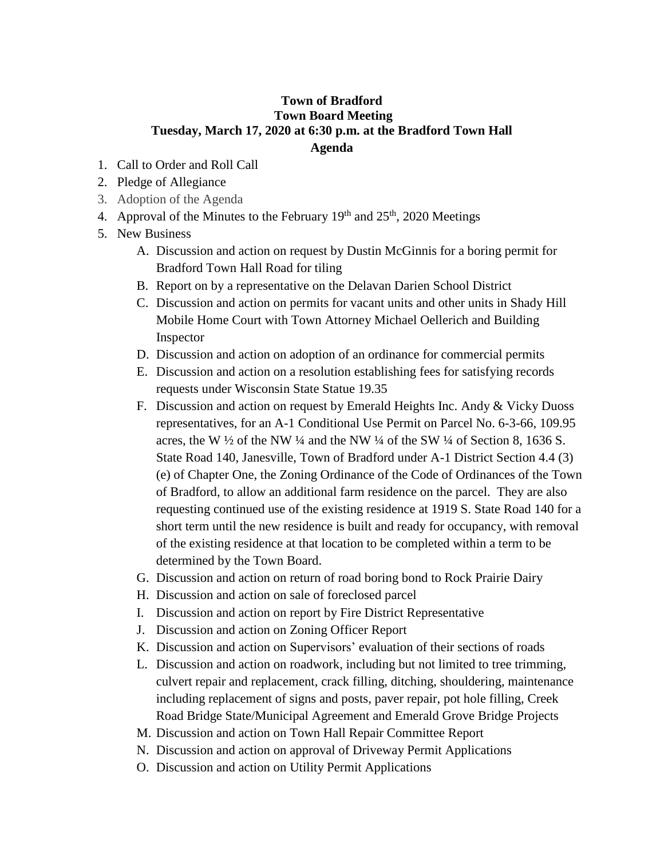## **Town of Bradford Town Board Meeting Tuesday, March 17, 2020 at 6:30 p.m. at the Bradford Town Hall Agenda**

- 1. Call to Order and Roll Call
- 2. Pledge of Allegiance
- 3. Adoption of the Agenda
- 4. Approval of the Minutes to the February  $19<sup>th</sup>$  and  $25<sup>th</sup>$ , 2020 Meetings
- 5. New Business
	- A. Discussion and action on request by Dustin McGinnis for a boring permit for Bradford Town Hall Road for tiling
	- B. Report on by a representative on the Delavan Darien School District
	- C. Discussion and action on permits for vacant units and other units in Shady Hill Mobile Home Court with Town Attorney Michael Oellerich and Building Inspector
	- D. Discussion and action on adoption of an ordinance for commercial permits
	- E. Discussion and action on a resolution establishing fees for satisfying records requests under Wisconsin State Statue 19.35
	- F. Discussion and action on request by Emerald Heights Inc. Andy & Vicky Duoss representatives, for an A-1 Conditional Use Permit on Parcel No. 6-3-66, 109.95 acres, the W  $\frac{1}{2}$  of the NW  $\frac{1}{4}$  and the NW  $\frac{1}{4}$  of the SW  $\frac{1}{4}$  of Section 8, 1636 S. State Road 140, Janesville, Town of Bradford under A-1 District Section 4.4 (3) (e) of Chapter One, the Zoning Ordinance of the Code of Ordinances of the Town of Bradford, to allow an additional farm residence on the parcel. They are also requesting continued use of the existing residence at 1919 S. State Road 140 for a short term until the new residence is built and ready for occupancy, with removal of the existing residence at that location to be completed within a term to be determined by the Town Board.
	- G. Discussion and action on return of road boring bond to Rock Prairie Dairy
	- H. Discussion and action on sale of foreclosed parcel
	- I. Discussion and action on report by Fire District Representative
	- J. Discussion and action on Zoning Officer Report
	- K. Discussion and action on Supervisors' evaluation of their sections of roads
	- L. Discussion and action on roadwork, including but not limited to tree trimming, culvert repair and replacement, crack filling, ditching, shouldering, maintenance including replacement of signs and posts, paver repair, pot hole filling, Creek Road Bridge State/Municipal Agreement and Emerald Grove Bridge Projects
	- M. Discussion and action on Town Hall Repair Committee Report
	- N. Discussion and action on approval of Driveway Permit Applications
	- O. Discussion and action on Utility Permit Applications